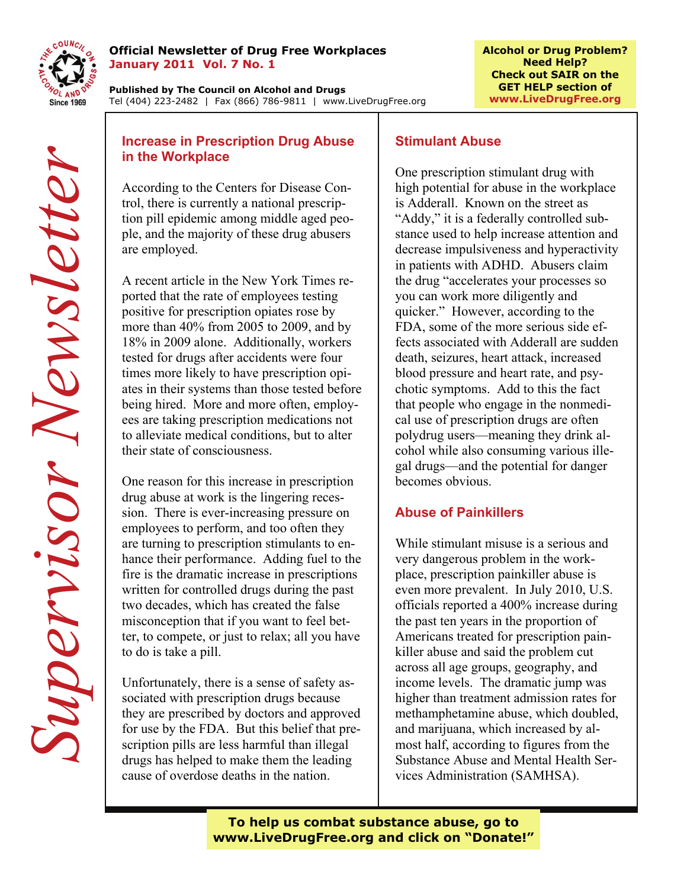

#### **Official Newsletter of Drug Free Workplaces January 2011 Vol. 7 No. 1**

**Published by The Council on Alcohol and Drugs**  Tel (404) 223-2482 | Fax (866) 786-9811 | www.LiveDrugFree.org

# **in the Workplace**

According to the Centers for Disease Control, there is currently a national prescription pill epidemic among middle aged people, and the majority of these drug abusers are employed.

**Exception Prescription Drug Abuse**<br> **Supervisor** and the Centers for Disease Concerns for Disease Concerns for Disease concerns for the Centers for Disease can the Concerns of the Concerns of the majority of these drug ab A recent article in the New York Times reported that the rate of employees testing positive for prescription opiates rose by more than 40% from 2005 to 2009, and by 18% in 2009 alone. Additionally, workers tested for drugs after accidents were four times more likely to have prescription opiates in their systems than those tested before being hired. More and more often, employees are taking prescription medications not to alleviate medical conditions, but to alter their state of consciousness.

One reason for this increase in prescription drug abuse at work is the lingering recession. There is ever-increasing pressure on employees to perform, and too often they are turning to prescription stimulants to enhance their performance. Adding fuel to the fire is the dramatic increase in prescriptions written for controlled drugs during the past two decades, which has created the false misconception that if you want to feel better, to compete, or just to relax; all you have to do is take a pill.

Unfortunately, there is a sense of safety associated with prescription drugs because they are prescribed by doctors and approved for use by the FDA. But this belief that prescription pills are less harmful than illegal drugs has helped to make them the leading cause of overdose deaths in the nation.

# **Stimulant Abuse**

One prescription stimulant drug with high potential for abuse in the workplace is Adderall. Known on the street as "Addy," it is a federally controlled substance used to help increase attention and decrease impulsiveness and hyperactivity in patients with ADHD. Abusers claim the drug "accelerates your processes so you can work more diligently and quicker." However, according to the FDA, some of the more serious side effects associated with Adderall are sudden death, seizures, heart attack, increased blood pressure and heart rate, and psychotic symptoms. Add to this the fact that people who engage in the nonmedical use of prescription drugs are often polydrug users—meaning they drink alcohol while also consuming various illegal drugs—and the potential for danger becomes obvious.

## **Abuse of Painkillers**

While stimulant misuse is a serious and very dangerous problem in the workplace, prescription painkiller abuse is even more prevalent. In July 2010, U.S. officials reported a 400% increase during the past ten years in the proportion of Americans treated for prescription painkiller abuse and said the problem cut across all age groups, geography, and income levels. The dramatic jump was higher than treatment admission rates for methamphetamine abuse, which doubled, and marijuana, which increased by almost half, according to figures from the Substance Abuse and Mental Health Services Administration (SAMHSA).